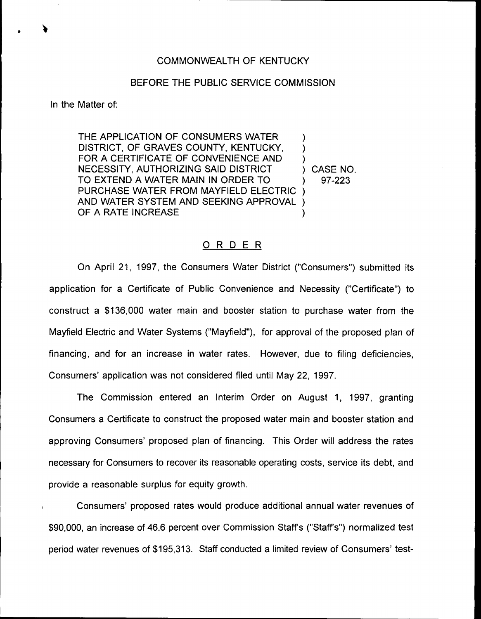### COMMONWEALTH OF KENTUCKY

#### BEFORE THE PUBLIC SERVICE COMMISSION

In the Matter of:

THE APPLICATION OF CONSUMERS WATER DISTRICT, OF GRAVES COUNTY, KENTUCKY, FOR A CERTIFICATE OF CONVENIENCE AND NECESSITY, AUTHORIZING SAID DISTRICT TO EXTEND A WATER MAIN IN ORDER TO PURCHASE WATER FROM MAYFIELD ELECTRIC AND WATER SYSTEM AND SEEKING APPROVAL OF A RATE INCREASE ) ) ) ) 97-223 ) ) )

) CASE NO.

#### ORDER

On April 21, 1997, the Consumers Water District ("Consumers" ) submitted its application for a Certificate of Public Convenience and Necessity ("Certificate") to construct a \$136,000 water main and booster station to purchase water from the Mayfield Electric and Water Systems ("Mayfield"), for approval of the proposed plan of financing, and for an increase in water rates. However, due to filing deficiencies, Consumers' application was not considered filed until May 22, 1997.

The Commission entered an Interim Order on August 1, 1997, granting Consumers a Certificate to construct the proposed water main and booster station and approving Consumers' proposed plan of financing. This Order will address the rates necessary for Consumers to recover its reasonable operating costs, service its debt, and provide a reasonable surplus for equity growth.

Consumers' proposed rates would produce additional annual water revenues of \$90,000, an increase of 46.6 percent over Commission Staffs ("Staff's") normalized test period water revenues of \$195,313. Staff conducted a limited review of Consumers' test-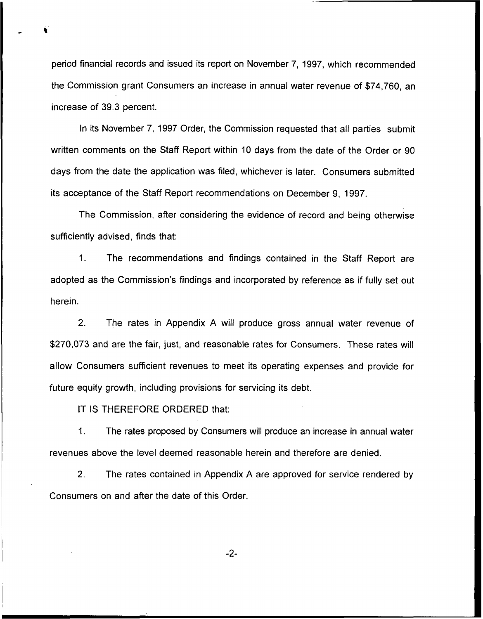period financial records and issued its report on November 7, 1997, which recommended the Commission grant Consumers an increase in annual water revenue of \$74,760, an increase of 39.3 percent.

In its November 7, 1997 Order, the Commission requested that all parties submit written comments on the Staff Report within 10 days from the date of the Order or 90 days from the date the application was filed, whichever is later. Consumers submitted its acceptance of the Staff Report recommendations on December 9, 1997.

The Commission, after considering the evidence of record and being otherwise sufficiently advised, finds that:

1. The recommendations and findings contained in the Staff Report are adopted as the Commission's findings and incorporated by reference as if fully set out herein.

2. The rates in Appendix A will produce gross annual water revenue of \$270,073 and are the fair, just, and reasonable rates for Consumers. These rates will allow Consumers sufficient revenues to meet its operating expenses and provide for future equity growth, including provisions for servicing its debt.

IT IS THEREFORE ORDERED that:

1. The rates proposed by Consumers will produce an increase in annual water revenues above the level deemed reasonable herein and therefore are denied.

2. The rates contained in Appendix A are approved for service rendered by Consumers on and after the date of this Order.

 $-2-$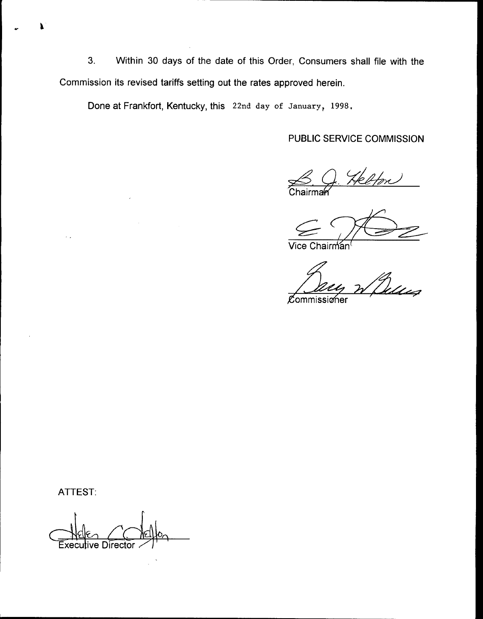3. Within 30 days of the date of this Order, Consumers shall file with the Commission its revised tariffs setting out the rates approved herein.

Done at Frankfort, Kentucky, this 22nd day of January, 1998,

PUBLIC SERVICE COMMISSION

 $rac{\text{S}}{\text{Chairm}}$ 

Vice Chairman<sup>(</sup>

Quin Zh E

Commissioner

ATTEST:

**Executive Director**